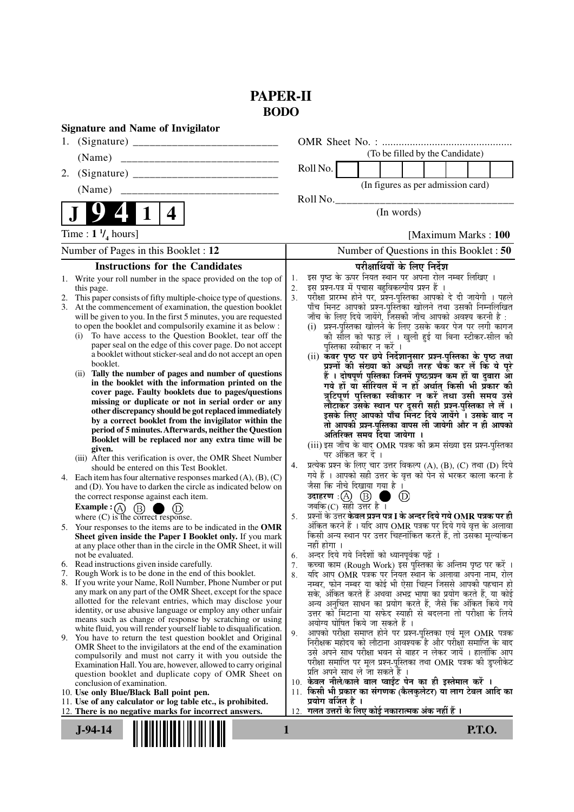# **PAPER-II BODO**

| <b>Signature and Name of Invigilator</b>                                                                                   |                                                                                                                                    |
|----------------------------------------------------------------------------------------------------------------------------|------------------------------------------------------------------------------------------------------------------------------------|
|                                                                                                                            |                                                                                                                                    |
| (Name)                                                                                                                     | (To be filled by the Candidate)                                                                                                    |
| 2.                                                                                                                         | Roll No.                                                                                                                           |
|                                                                                                                            | (In figures as per admission card)                                                                                                 |
|                                                                                                                            | Roll No.                                                                                                                           |
| 1<br>4                                                                                                                     | (In words)                                                                                                                         |
| Time : $1 \frac{1}{4}$ hours]                                                                                              | [Maximum Marks: 100]                                                                                                               |
| Number of Pages in this Booklet : 12                                                                                       | Number of Questions in this Booklet: 50                                                                                            |
| <b>Instructions for the Candidates</b>                                                                                     | परीक्षार्थियों के लिए निर्देश                                                                                                      |
| Write your roll number in the space provided on the top of<br>1.                                                           | इस पृष्ठ के ऊपर नियत स्थान पर अपना रोल नम्बर लिखिए ।<br>1.                                                                         |
| this page.<br>This paper consists of fifty multiple-choice type of questions.<br>2.                                        | इस प्रश्न-पत्र में पचास बहुविकल्पीय प्रश्न हैं ।<br>2.<br>परीक्षा प्रारम्भ होने पर, प्रश्न-पुस्तिका आपको दे दी जायेगी । पहले<br>3. |
| At the commencement of examination, the question booklet<br>3.                                                             | पाँच मिनट आपको प्रश्न-पुस्तिका खोलने तथा उसकी निम्नलिखित                                                                           |
| will be given to you. In the first 5 minutes, you are requested                                                            | जाँच के लिए दिये जायेंगे, जिसकी जाँच आपको अवश्य करनी है :                                                                          |
| to open the booklet and compulsorily examine it as below :<br>To have access to the Question Booklet, tear off the<br>(i)  | (i) प्रश्न-पुस्तिका खोलने के लिए उसके कवर पेज पर लगी कागज<br>की सील को फाड़ लें । खुली हुई या बिना स्टीकर-सील की                   |
| paper seal on the edge of this cover page. Do not accept                                                                   | पुस्तिका स्वीकार न करें ।                                                                                                          |
| a booklet without sticker-seal and do not accept an open                                                                   | (ii) कवर पृष्ठ पर छपे निर्देशानुसार प्रश्न-पुस्तिका के पृष्ठ तथा                                                                   |
| booklet.<br>(ii) Tally the number of pages and number of questions                                                         | प्रश्नों की संख्या को अच्छी तरह चैक कर लें कि ये पुरे                                                                              |
| in the booklet with the information printed on the                                                                         | हैं । दोषपूर्ण पुस्तिका जिनमें पृष्ठ/प्रश्न कम हों या दुबारा आ<br>गये हों या सीरियल में न हों अर्थात् किसी भी प्रकार की            |
| cover page. Faulty booklets due to pages/questions                                                                         | त्रुटिपूर्ण पुस्तिका स्वीकार न करें तथा उसी समय उसे                                                                                |
| missing or duplicate or not in serial order or any<br>other discrepancy should be got replaced immediately                 | लौटाकर उसके स्थान पर दूसरी सही प्रश्न-पुस्तिका ले लें ।<br>इसके लिए आपको पाँच मिनट दिये जायेंगे । उसके बाद न                       |
| by a correct booklet from the invigilator within the                                                                       | तो आपकी प्रश्न-पुस्तिका वापस ली जायेगी और न ही आपको                                                                                |
| period of 5 minutes. Afterwards, neither the Question                                                                      | अतिरिक्त समय दिया जायेगा ।                                                                                                         |
| Booklet will be replaced nor any extra time will be<br>given.                                                              | (iii) इस जाँच के बाद OMR पत्रक की क्रम संख्या इस प्रश्न-पुस्तिका                                                                   |
| (iii) After this verification is over, the OMR Sheet Number                                                                | पर अंकित कर दें ।<br>प्रत्येक प्रश्न के लिए चार उत्तर विकल्प (A), (B), (C) तथा (D) दिये<br>4.                                      |
| should be entered on this Test Booklet.<br>4. Each item has four alternative responses marked $(A)$ , $(B)$ , $(C)$        | गये हैं । आपको सही उत्तर के वृत्त को पेन से भरकर काला करना है                                                                      |
| and (D). You have to darken the circle as indicated below on                                                               | जैसा कि नीचे दिखाया गया है ।                                                                                                       |
| the correct response against each item.                                                                                    | उदाहरण: $\textcircled{A}$ $\textcircled{B}$<br>(D)                                                                                 |
| <b>Example:</b> $\overline{A}$ $\overline{B}$ $\overline{B}$<br>(D)<br>where $(C)$ is the correct response.                | जबकि $(C)$ सही उत्तर है।<br>प्रश्नों के उत्तर केवल प्रश्न पत्र I के अन्दर दिये गये $\bf OMR$ पत्रक पर ही<br>5.                     |
| 5. Your responses to the items are to be indicated in the OMR                                                              | अंकित करने हैं । यदि आप OMR पत्रक पर दिये गये वृत्त के अलावा                                                                       |
| Sheet given inside the Paper I Booklet only. If you mark                                                                   | किसी अन्य स्थान पर उत्तर चिह्नांकित करते हैं, तो उसका मुल्यांकन                                                                    |
| at any place other than in the circle in the OMR Sheet, it will<br>not be evaluated.                                       | नहीं होगा ।<br>अन्दर दिये गये निर्देशों को ध्यानपूर्वक पढ़ें ।<br>6.                                                               |
| 6. Read instructions given inside carefully.                                                                               | कच्चा काम (Rough Work) इस पुस्तिका के अन्तिम पृष्ठ पर करें ।<br>7.                                                                 |
| Rough Work is to be done in the end of this booklet.<br>7.                                                                 | यदि आप OMR पत्रक पर नियत स्थान के अलावा अपना नाम, रोल<br>8.                                                                        |
| 8. If you write your Name, Roll Number, Phone Number or put<br>any mark on any part of the OMR Sheet, except for the space | नम्बर, फोन नम्बर या कोई भी ऐसा चिह्न जिससे आपकी पहचान हो<br>सके, अंकित करते हैं अथवा अभद्र भाषा का प्रयोग करते हैं, या कोई         |
| allotted for the relevant entries, which may disclose your                                                                 | अन्य अनुचित साधन का प्रयोग करते हैं, जैसे कि अंकित किये गये                                                                        |
| identity, or use abusive language or employ any other unfair<br>means such as change of response by scratching or using    | उत्तर को मिटाना या सफेद स्याही से बदलना तो परीक्षा के लिये                                                                         |
| white fluid, you will render yourself liable to disqualification.                                                          | अयोग्य घोषित किये जा सकते हैं ।<br>आपको परीक्षा समाप्त होने पर प्रश्न-पुस्तिका एवं मूल OMR पत्रक<br>9.                             |
| 9. You have to return the test question booklet and Original                                                               | निरीक्षक महोदय को लौटाना आवश्यक है और परीक्षा समाप्ति के बाद                                                                       |
| OMR Sheet to the invigilators at the end of the examination<br>compulsorily and must not carry it with you outside the     | उसे अपने साथ परीक्षा भवन से बाहर न लेकर जायें । हालांकि आप                                                                         |
| Examination Hall. You are, however, allowed to carry original                                                              | परीक्षा समाप्ति पर मूल प्रश्न-पुस्तिका तथा OMR पत्रक की डुप्लीकेट<br>प्रति अपने साथ ले जा सकते हैं ।                               |
| question booklet and duplicate copy of OMR Sheet on<br>conclusion of examination.                                          | 10. केवल नीले/काले बाल प्वाईंट पेन का ही इस्तेमाल करें ।                                                                           |
| 10. Use only Blue/Black Ball point pen.                                                                                    | 11. किसी भी प्रकार का संगणक (कैलकुलेटर) या लाग टेबल आदि का                                                                         |
| 11. Use of any calculator or log table etc., is prohibited.<br>12. There is no negative marks for incorrect answers.       | प्रयोग वर्जित है ।<br>गलत उत्तरों के लिए कोई नकारात्मक अंक नहीं हैं ।<br>12.                                                       |
|                                                                                                                            |                                                                                                                                    |
| $J-94-14$                                                                                                                  | <b>P.T.O.</b><br>1                                                                                                                 |
|                                                                                                                            |                                                                                                                                    |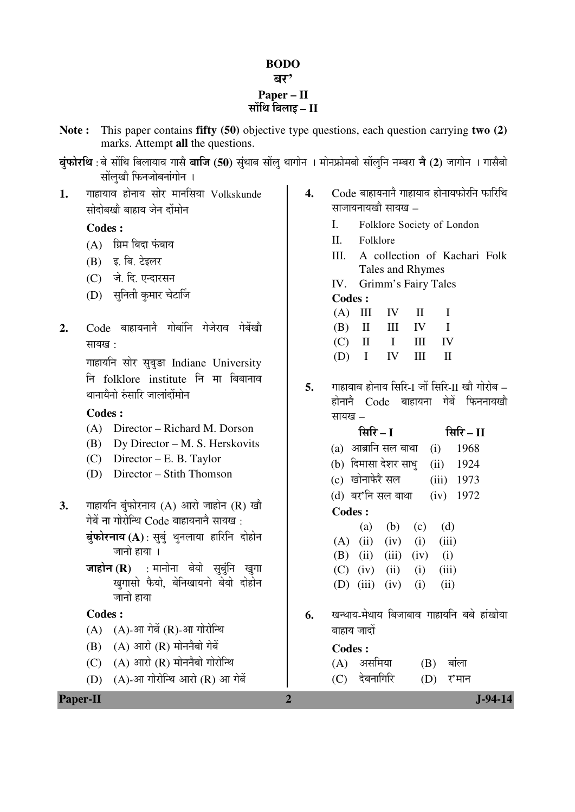#### **BODO**

बर'

#### **Paper – II सोंथि बिलाइ – II**

**Note :** This paper contains **fifty (50)** objective type questions, each question carrying **two (2)**  marks. Attempt **all** the questions.

**बुंफोरथि** : बे सोंथि बिलायाव गासै **बाजि (50)** सुंथाब सोंलु थागोन । मोनफ्रोमबो सोंलुनि नम्बरा **ने (2)** जागोन । गासैबो सोंलुखौ फिनजोबनांगोन ।

1. गाहायाव होनाय सोर मानसिया Volkskunde सोदोबखो बाहाय जेन दोंमोन

**Codes :**

- $(A)$  ग्रिम बिदा फंबाय
- (B) इ. बि. टेइलर
- (C) जे. दि. एन्दारसन
- (D) सनिती कमार चेटार्जि
- 2. Code बाहायनाने गोबांनि गेजेराव गेबेंखौ सायख:

गाहायनि सोर सुबुङा Indiane University नि folklore institute नि मा बिबानाव थानायैनो रुंसारि जालांदोंमोन

## **Codes :**

- (A) Director Richard M. Dorson
- (B) Dy Director M. S. Herskovits
- (C) Director E. B. Taylor
- (D) Director Stith Thomson
- **3.** गाहायनि बुंफोरनाय (A) आरो जाहोन (R) खौ  $\vec{v}$ ोबें ना गोरोन्थि  $C$ ode बाहायनानै सायख $\vec{v}$ 
	- **बुंफोरनाय (A)** : सुबुं थुनलाया हारिनि दोहोन जानो हाया ।
	- **जाहोन (R)** : मानोना बेयो सुबुनि खुगा खगासो फैयो, बेनिखायनो बेयो दोहोन जानो हाया

## **Codes :**

- $(A)$   $(A)$ -आ गेबें $(R)$ -आ गोरोन्थि
- $(B)$   $(A)$  आरो  $(R)$  मोननैबो गेबें
- $(C)$   $(A)$  आरो $(R)$  मोननैबो गोरोन्थि
- $(D)$   $(A)$ -आ गोरोन्थि आरो  $(R)$  आ गेबें
- 4. Code बाहायनाने गाहायाव होनायफोरनि फारिथि साजायनायखो $n$ मायख $-$ 
	- I. Folklore Society of London
	- II. Folklore
	- III. A collection of Kachari Folk Tales and Rhymes
	- IV. Grimm's Fairy Tales

## **Codes :**

|  | $(A)$ III IV II I |  |
|--|-------------------|--|
|  | $(B)$ II III IV I |  |
|  | $(C)$ II I III IV |  |
|  | $(D)$ I IV III II |  |

5. ITHENDER ENDER ENDER THE <sup>5</sup> THENDER – THENDER – STOCKLESS – STOCKLESS – STOCKLESS – STOCKLESS – STOCKLESS – S  $\vec{E}$ होनाने  $\vec{C}$ ode बाहायना गेबें फिननायखौ सायख –

|                 | सिरि – I             |            |             |
|-----------------|----------------------|------------|-------------|
|                 | (a) आब्रानि सल बाथा  | $(i)$ 1968 |             |
|                 | (b) दिमासा देशर साधु |            | $(ii)$ 1924 |
|                 | (c) खोनाफेरै सल      | (iii) 1973 |             |
|                 | (d) बर'नि सल बाथा    |            | $(iv)$ 1972 |
| <b>Codes:</b>   |                      |            |             |
|                 | (a) (b) (c)          | (d)        |             |
| $(\Delta)$ (ii) | $(iy)$ (i) (iii)     |            |             |

|  | $(A)$ (ii) (iv) (i) (iii) |  |
|--|---------------------------|--|
|  | (B) (ii) (iii) (iv) (i)   |  |
|  | $(C)$ (iv) (ii) (i) (iii) |  |
|  | (D) (iii) (iv) (i) (ii)   |  |

6. खन्थाय-मेथाय बिजाबाव गाहायनि बबे हांखोया बाहाय जादों

## **Codes :**

| (A) असमिया    | $(B)$ बांला |
|---------------|-------------|
| (C) देबनागिरि | $(D)$ र'मान |

**Paper-II** J-94-14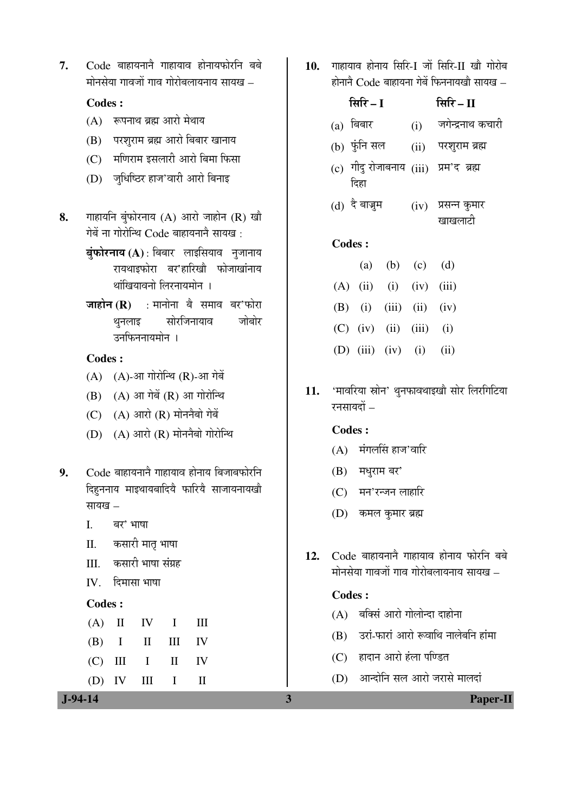7. Code बाहायनाने गाहायाव होनायफोरनि बबे  $\dot{\mathbf{u}}$ निसेया गावजों गाव गोरोबलायनाय सायख $\,$  –

## **Codes :**

- $(A)$  रूपनाथ ब्रह्म आरो मेथाय
- (B) परशुराम ब्रह्म आरो बिबार खानाय
- (C) मणिराम इसलारी आरो बिमा फिसा
- (D) जुधिष्ठिर हाज'वारी आरो बिनाइ
- 8. गाहायनि बुंफोरनाय (A) आरो जाहोन (R) खौ गेबें ना गोरोन्थि Code बाहायनानै सायख:
	- **बंफोरनाय (A)** : बिबार लाइसियाव नजानाय रायथाइफोरा बर'हारिखौ फोजाखांनाय थांखियावनो लिरनायमोन**।**
	- **जाहोन (R)** : मानोना बै समाव बर'फोरा थनलाइ सोरजिनायाव जोबोर उनफिननायमोन ।

**Codes :**

- $(A)$   $(A)$ -आ गोरोन्थि  $(R)$ -आ गेबें
- $(B)$   $(A)$  आ गेबें  $(R)$  आ गोरोन्थि
- $(C)$   $(A)$  आरो  $(R)$  मोननैबो गेबें
- $(D)$   $(A)$  आरो  $(R)$  मोननैबो गोरोन्थि
- **9.** Code बाहायनाने गाहायाव होनाय बिजाबफोरनि दिहुननाय माइथायबादियै फारियै साजायनायखौ सायख $-$ 
	- I. बर' भाषा
	- II. कसारी मातृ भाषा
	- III. कसारी भाषा संग्रह
	- $IV$  दिमासा भाषा

#### **Codes :**

|  | $(A)$ II IV I III |  |
|--|-------------------|--|
|  | $(B)$ I II III IV |  |
|  | $(C)$ III I II IV |  |
|  | $(D)$ IV III I II |  |

10. गाहायाव होनाय सिरि-I जों सिरि-II खौ गोरोब  $\vec{E}$ होनानै  $C$ ode बाहायना गेबें फिननायखो सायख $\vec{E}$ 

|  | सिरि – I                  |                 | सिरि – II                             |
|--|---------------------------|-----------------|---------------------------------------|
|  | $(a)$ बिबार               |                 | $(i)$ जगेन्द्रनाथ कचारी               |
|  | (b) फुंनि सल              |                 | (ii) परशुराम ब्रह्म                   |
|  | दिहा                      |                 | (c) गीदु रोजाबनाय (iii) प्रम'द ब्रह्म |
|  | (d) दै बाज्रुम            |                 | $(iv)$ प्रसन्न कुमार                  |
|  |                           |                 | खाखलाटी                               |
|  | <b>Codes:</b>             |                 |                                       |
|  |                           | (a) (b) (c) (d) |                                       |
|  | $(A)$ (ii) (i) (iv) (iii) |                 |                                       |
|  | (B) (i) (iii) (ii) (iv)   |                 |                                       |
|  | $(C)$ (iv) (ii) (iii) (i) |                 |                                       |
|  | (D) (iii) (iv) (i) (ii)   |                 |                                       |
|  |                           |                 |                                       |

11. 'मावरिया स्रोन' थुनफावथाइखौ सोर लिरगिटिया रनसायदों –

#### **Codes :**

- $(A)$  मंगलसिं हाज'वारि
- $(B)$  मधुराम बर'
- $(C)$  मन'रन्जन लाहारि
- (D) कमल कुमार ब्रह्म
- 12. Code बाहायनाने गाहायाव होनाय फोरनि बबे मोनसेया गावजों गाव गोरोबलायनाय सायख –

#### **Codes :**

- $(A)$  बक्सिं आरो गोलोन्दा दाहोना
- $(B)$  उरां-फारां आरो रूवाथि नालेबनि हांमा
- (C) हादान आरो हंला पण्डित
- $(D)$  आन्दोनि सल आरो जरासे मालदां

 **J-94-14 3 Paper-II**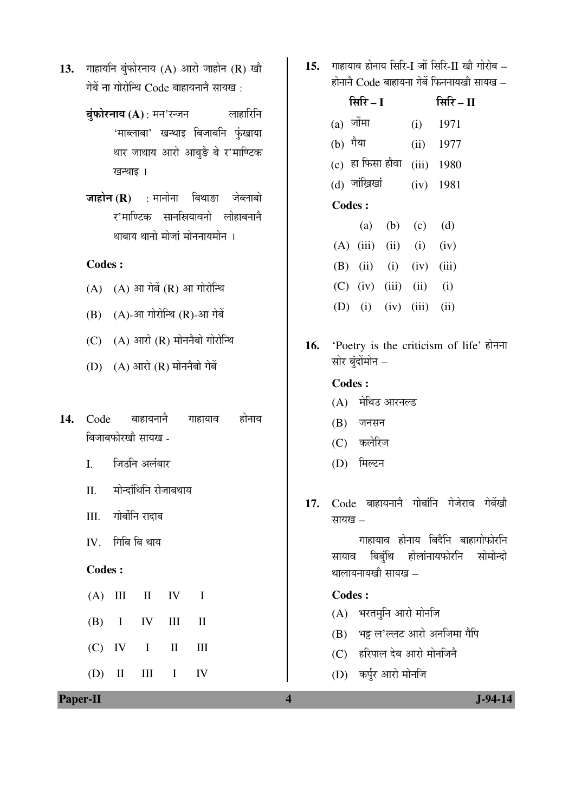- 13. गाहायनि बुंफोरनाय (A) आरो जाहोन (R) खौ गेबें ना गोरोन्थि $\rm~Code$  बाहायनाने सायख $\, \cdot \,$ 
	- **बुंफोरनाय (A)** : मन'रन्जन लाहारिनि 'माब्लाबा' खन्थाइ बिजाबनि फुंखाया थार जाथाय आरो आबुङै बे र'माण्टिक खन्थाइ ।
	- **जाहोन (R)** : मानोना बिथाङा जेब्लाबो र'माण्टिक सानस्रियावनो लोहाबनानै थाबाय थानो मोजां मोननायमोन ।

### **Codes :**

- $(A)$   $(A)$  आ गेबें  $(R)$  आ गोरोन्थि
- $(B)$   $(A)$ -आ गोरोन्थि $(R)$ -आ गेबें
- $(C)$   $(A)$  आरो  $(R)$  मोननैबो गोरोन्थि
- $(D)$   $(A)$  आरो  $(R)$  मोननैबो गेबें
- 14. Code बाहायनाने गाहायाव होनाय बिजाबफोरखौ सायख -
	- I. जिउनि अलंबार
	- II. मोन्दांथिनि रोजाबथाय
	- III. गोर्बोनि रादाब
	- $IV.$  गिबि बि थाय

### **Codes :**

- $(A)$  III II IV I (B) I IV III II  $(C)$  IV I II III
	- $(D)$  II III I IV

15. गाहायाव होनाय सिरि-I जों सिरि-II खौ गोरोब –  $\vec{E}$ होनाने  $\vec{C}$ ode बाहायना गेबें फिननायखौ सायख –

|          | सिरि $-I$                 | सिरि $-II$      |                             |
|----------|---------------------------|-----------------|-----------------------------|
|          | $(a)$ जोंमा               |                 | $(i)$ 1971                  |
| (b) गैया |                           |                 | $(ii)$ 1977                 |
|          |                           |                 | (c) हा फिसा हौवा (iii) 1980 |
|          | (d) जांख्रिखां            |                 | $(iv)$ 1981                 |
|          | <b>Codes:</b>             |                 |                             |
|          |                           | (a) (b) (c) (d) |                             |
|          | $(A)$ (iii) (ii) (i) (iv) |                 |                             |
|          | $(B)$ (ii) (i) (iv) (iii) |                 |                             |
|          | $(C)$ (iv) (iii) (ii) (i) |                 |                             |
|          | (D) (i) (iv) (iii) (ii)   |                 |                             |

16. 'Poetry is the criticism of life' होनना सोर बुंदोंमोन $-$ 

#### **Codes :**

- (A) मेथिउ आरनल्ड
- $(B)$  जनसन
- (C) कलेरिज
- (D) मिल्टन
- 17. Code बाहायनाने गोबांनि गेजेराव गेबेंखो सायख $-$

गाहायाव होनाय बिदैनि बाहागोफोरनि सायाव बिबंथि होलांनायफोरनि सोमोन्दो थालायनायखो $n$ सायख $-$ 

#### **Codes :**

- $(A)$  भरतमुनि आरो मोनजि
- (B) भट्ट ल'ल्लट आरो अनजिमा गैपि
- (C) हरिपाल देब आरो मोनजिनै
- (D) कर्पूर आरो मोनजि

**Paper-II** J-94-14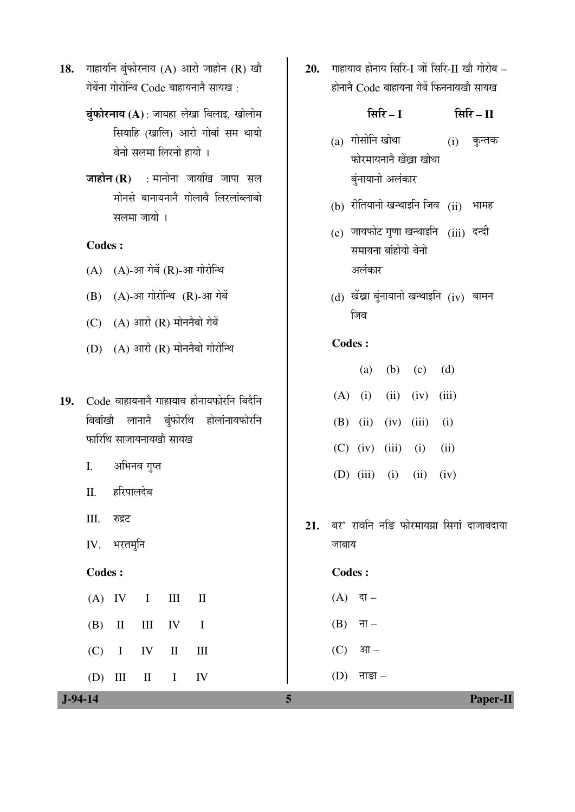- 18. गाहायनि बुंफोरनाय (A) आरो जाहोन (R) खौ गेबेंना गोरोन्थि $\rm~Code$  बाहायनाने सायख $\,$  :
	- **बंफोरनाय (A)** : जायहा लेखा बिलाइ, खोलोम सियाहि (खालि) आरो गोबां सम थायो बेनो सलमा लिरनो हायो**।**
	- **जाहोन (R)** : मानोना जायखि जापा सल .<br>मोनसे बानायनाने गोलावे लिरलांब्लाबो सलमा जायो ।

#### **Codes :**

- $(A)$   $(A)$ -आ गेबें $(R)$ -आ गोरोन्थि
- $(B)$   $(A)$ -आ गोरोन्थि  $(R)$ -आ गेबें
- $(C)$   $(A)$  आरो  $(R)$  मोननैबो गेबें
- $(D)$   $(A)$  आरो  $(R)$  मोननैबो गोरोन्थि
- 19. Code बाहायनाने गाहायाव होनायफोरनि बिदैनि <u>बिबांखौ लानानै बुं</u>फोरथि होलांनायफोरनि <u>फारिथि साजायनायखौ सायख</u>
	- I. अभिनव गुप्त
	- II. हरिपालदेब
	- III. रुद्रट
	- $IV.$  भरतमनि

#### **Codes :**

|  |  | $(A)$ IV I III II |  |
|--|--|-------------------|--|
|  |  | $(B)$ II III IV I |  |
|  |  | $(C)$ I IV II III |  |
|  |  | $(D)$ III II I IV |  |

20. गाहायाव होनाय सिरि-I जों सिरि-II खौ गोरोब – होनाने  $Code$  बाहायना गेबें फिननायखो सायख

×ÃÖ׸ü **– I** ×ÃÖ׸ü **– II** 

- $(a)$  गोसोनि खोथा फोरमायनाने खेंखा खोथा बुंनायानो अलंकार  $(i)$  कुन्तक
- $(h)$  रीतियानो खन्थाइनि जिव $(ii)$  भामह
- (c) जायफोट गुणा खन्थाइनि (iii) दन्दी समायना बांहोयो बेनो अलंकार
- $(d)$  खेंख्रा बुंनायानो खन्थाइनि  $(iv)$  बामन जिव

#### **Codes :**

|  | (a) (b) (c) (d)                 |  |
|--|---------------------------------|--|
|  | $(A)$ (i) (ii) (iv) (iii)       |  |
|  | (B) (ii) (iv) (iii) (i)         |  |
|  | (C) (iv) (iii) (i) (ii)         |  |
|  | (D) $(iii)$ $(i)$ $(ii)$ $(iv)$ |  |

21. बर' रावनि नङि फोरमायग्रा सिगां दाजाबदाया जाबाय

#### **Codes :**

- $(A)$  दा –
- $(B)$  ना –
- $(C)$  आ –
- $(D)$  नाङा –

 **J-94-14 5 Paper-II**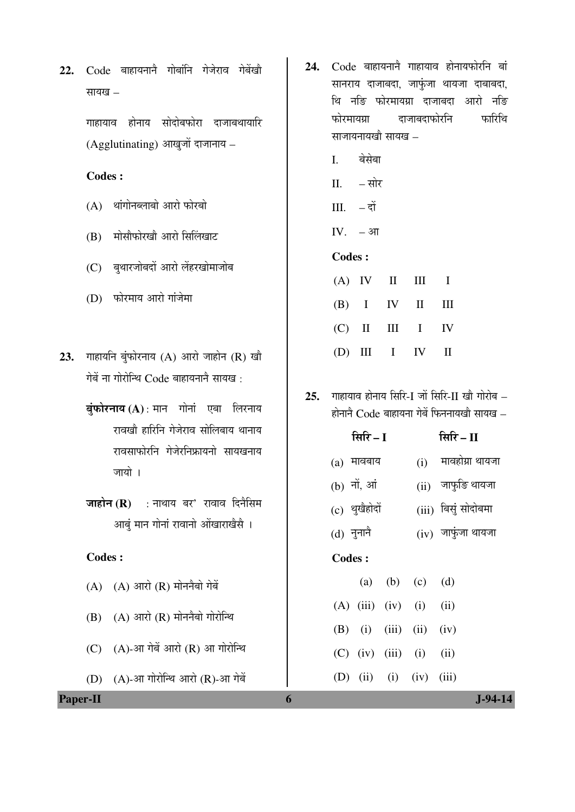22. Code बाहायनाने गोबांनि गेजेराव गेबेंखौ सायख $-$ 

> गाहायाव होनाय सोदोबफोरा दाजाबथायारि  $(Agglutinating)$  आखुजों दाजानाय –

## **Codes :**

- $(A)$  थांगोनब्लाबो आरो फोरबो
- (B) मोसौफोरखौ आरो सिलिंखाट
- (C) बृथारजोबदों आरो लेंहरखोमाजोब
- (D) फोरमाय आरो गांजेमा
- 23. गाहायनि बुंफोरनाय (A) आरो जाहोन (R) खौ गेबें ना गोरोन्थि $\rm~Code$  बाहायनानै सायख $\,$  :
	- **बुंफोरनाय (A)** : मान गोनां एबा लिरनाय रावखौ हारिनि गेजेराव सोलिबाय थानाय <u>रावसाफोरनि गेजेरनिफ्रायनो सायखनाय</u> जायो ।
	- **जाहोन (R)** : नाथाय बर' रावाव दिनैसिम आबुं मान गोनां रावानो ओंखाराखैसै ।

#### **Codes :**

- $(A)$   $(A)$  आरो  $(R)$  मोननैबो गेबें
- $(B)$   $(A)$  आरो  $(R)$  मोननैबो गोरोन्थि
- $(C)$   $(A)$ -आ गेबें आरो $(R)$  आ गोरोन्थि
- $(D)$   $(A)$ -आ गोरोन्थि आरो  $(R)$ -आ गेबें
- 24. Code बाहायनाने गाहायाव होनायफोरनि बां सानराय दाजाबदा, जाफुंजा थायजा दाबाबदा, थि नङि फोरमायग्रा दाजाबदा आरो नङि <u>फोरमायग्रा</u> दाजाबदाफोरनि फारिथि साजायनायखो सायख –
	- I. बेसेबा
	- $II. \overline{a}$ ोर
	- $III. d\dot{t}$
	- IV.  $-3\pi$

#### **Codes :**

|  |  | $(A)$ IV II III I |  |
|--|--|-------------------|--|
|  |  | $(B)$ I IV II III |  |
|  |  | $(C)$ II III I IV |  |
|  |  | $(D)$ III I IV II |  |

25. माहायाव होनाय सिरि-I जों सिरि-II खौ गोरोब –  $\vec{E}$ होनाने  $\vec{C}$ ode बाहायना गेबें फिननायखो सायख –

| सिरि $-I$     |                         | सिरि $ \rm II$       |
|---------------|-------------------------|----------------------|
| $(a)$ मावबाय  | (i)                     | मावहोग्रा थायजा      |
| (b) नों, आं   |                         | (ii) जाफुङि थायजा    |
| (c) थुखैहोदों |                         | (iii) बिसुं सोदोबमा  |
| (d) नुनानै    |                         | $(iv)$ जाफुंजा थायजा |
| Codes :       |                         |                      |
|               | $(a)$ $(b)$ $(a)$ $(d)$ |                      |

|  | $(u)$ $(v)$ $(v)$ $(u)$ |                           |  |
|--|-------------------------|---------------------------|--|
|  |                         | $(A)$ (iii) (iv) (i) (ii) |  |
|  |                         | (B) (i) (iii) (ii) (iv)   |  |
|  |                         | (C) (iv) (iii) (i) (ii)   |  |
|  |                         | (D) (ii) (i) (iv) (iii)   |  |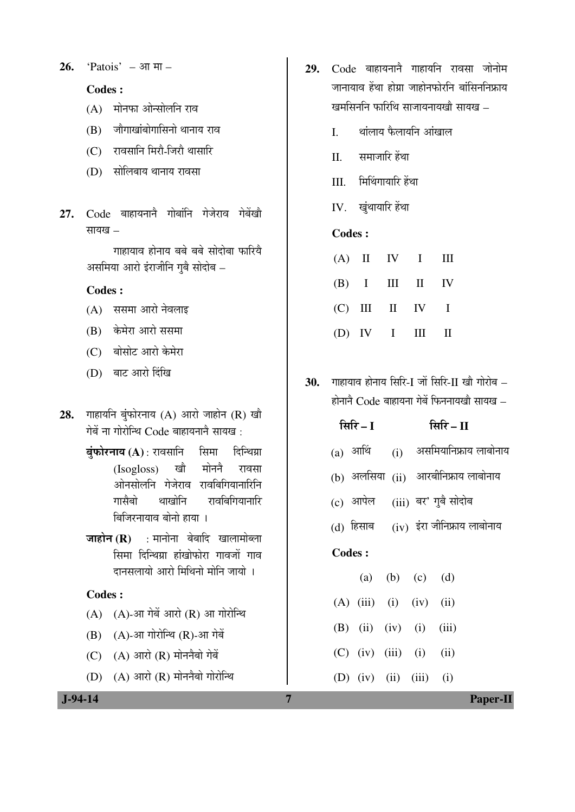$26.$  'Patois' – आ मा –

## **Codes :**

- $(A)$  मोनफा ओन्सोलनि राव
- $(B)$  जौगाखांबोगासिनो थानाय राव
- (C) रावसानि मिरौ-जिरौ थासारि
- (D) सोलिबाय थानाय रावसा
- 27. Code बाहायनाने गोबांनि गेजेराव गेबेंखो  $\overline{u}$ यायाव $\overline{u}$

गाहायाव होनाय बबे बबे सोदोबा फारिये असमिया आरो इंराजीनि गुबै सोदोब –

## **Codes :**

- (A) ससमा आरो नेवलाइ
- (B) केमेरा आरो ससमा
- (C) बोसोट आरो केमेरा
- (D) बाट आरो दिंखि
- 28. गाहायनि बुंफोरनाय (A) आरो जाहोन (R) खौ गेबें ना गोरोन्थि $\rm~Code$  बाहायनानै सायख $\,$  :
	- **बुंफोरनाय (A)** : रावसानि सिमा दिन्थिग्रा (Isogloss) खौ मोननै रावसा ओनसोलनि गेजेराव रावबिगियानारिनि गासैबो थाखोनि रावबिगियानारि बिजिरनायाव बोनो हाया ।
	- **जाहोन (R)** : मानोना बेबादि खालामोब्ला सिमा दिन्थिग्रा हांखोफोरा गावजों गाव दानसलायो आरो मिथिनो मोनि जायो ।

### **Codes :**

- $(A)$   $(A)$ -आ गेबें आरो  $(R)$  आ गोरोन्थि
- $(B)$   $(A)$ -आ गोरोन्थि $(R)$ -आ गेबें
- $(C)$   $(A)$  आरो  $(R)$  मोननैबो गेबें
- $(D)$   $(A)$  आरो  $(R)$  मोननैबो गोरोन्थि
- 29. Code बाहायनानै गाहायनि रावसा जोनोम जानायाव हेंथा होग्रा जाहोनफोरनि बांसिननिफ्राय खमसिननि फारिथि साजायनायखौ सायख –
	- I. थांलाय फैलायनि आंखाल
	- $II$  समाजारि हेंथा
	- III. मिथिंगायारि हेंथा
	- IV. खंथायारि हेंथा

## **Codes :**

|  | $(A)$ II IV I III |  |
|--|-------------------|--|
|  | $(B)$ I III II IV |  |
|  | $(C)$ III II IV I |  |
|  | (D) IV I III II   |  |

30. गाहायाव होनाय सिरि-I जों सिरि-II खौ गोरोब –  $\vec{E}$ होनाने  $\vec{C}$ ode बाहायना गेबें फिननायखो सायख –

|  | सिरि $ \bf{I}$            |  | सिरि $ \Pi$                               |
|--|---------------------------|--|-------------------------------------------|
|  |                           |  | (a) आथिं (i) असमियानिफ्राय लाबोनाय        |
|  |                           |  | (b) अलसिया (ii) आरबीनिफ्राय लाबोनाय       |
|  |                           |  | (c) आपेल (iii) बर' गुबै सोदोब             |
|  |                           |  | $(d)$ हिसाब $(iv)$ इंरा जीनिफ्राय लाबोनाय |
|  | Codes:                    |  |                                           |
|  | (a) (b) (c) (d)           |  |                                           |
|  | $(A)$ (iii) (i) (iv) (ii) |  |                                           |
|  | $(B)$ (ii) (iv) (i) (iii) |  |                                           |
|  | $(C)$ (iv) (iii) (i) (ii) |  |                                           |
|  |                           |  |                                           |

(D) (iv) (ii) (iii) (i)

 **J-94-14 7 Paper-II**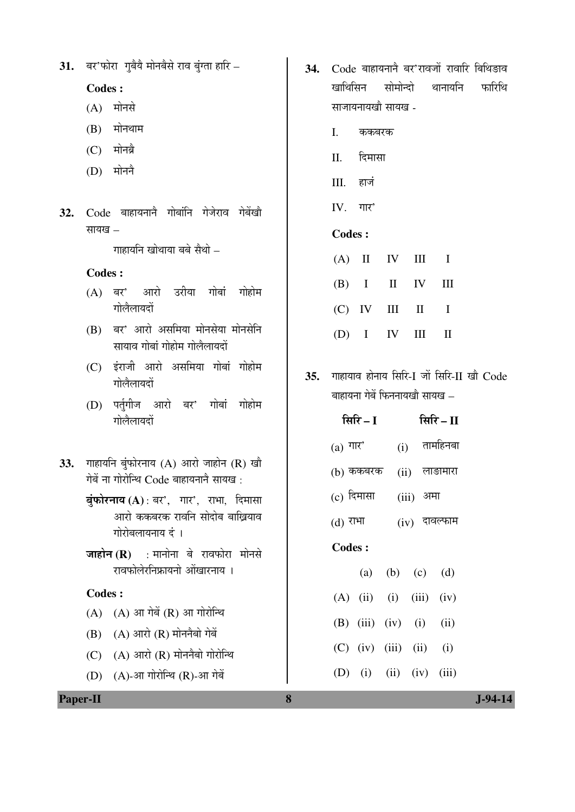|                 | सापख –        |                                                                                      | <b>Codes:</b>       |                                          |
|-----------------|---------------|--------------------------------------------------------------------------------------|---------------------|------------------------------------------|
|                 |               | गाहायनि खोथाया बबे सैथो –                                                            | (A)<br>$\mathbf{I}$ | IV<br>III<br>$\mathbf I$                 |
|                 | <b>Codes:</b> |                                                                                      |                     | IV                                       |
|                 | (A)           | बर' आरो उरीया गोबां<br>गोहोम<br>गोलैलायदों                                           | (B)<br>$\mathbf{I}$ | $\rm II$<br>III                          |
|                 | (B)           | बर' आरो असमिया मोनसेया मोनसेनि                                                       | (C)<br>IV           | III<br>$\mathbf{I}$<br>$\mathbf I$       |
|                 |               | सायाव गोबां गोहोम गोलैलायदों                                                         | $\mathbf I$<br>(D)  | IV<br>$\rm III$<br>$\mathbf{I}$          |
|                 | (C)           | इंराजी आरो असमिया गोबां गोहोम<br>गोलैलायदों                                          | 35.                 | गाहायाव होनाय सिरि-I जों सिरि-II खौ Code |
|                 |               |                                                                                      |                     | बाहायना गेबें फिननायखो सायख –            |
|                 | (D)           | पर्तृगीज आरो बर' गोबां गोहोम<br>गोलैलायदों                                           | सिरि $-I$           | सिरि $-II$                               |
|                 |               |                                                                                      | (a) गार'            | तामहिनबा<br>(i)                          |
| 33.             |               | गाहायनि बुंफोरनाय $(A)$ आरो जाहोन $(R)$ खौ<br>गेबें ना गोरोन्थि Code बाहायनानै सायख: | $(b)$ ककबरक         | लाङामारा<br>(ii)                         |
|                 |               | बुंफोरनाय (A): बर', गार', राभा, दिमासा                                               | $(c)$ दिमासा        | (iii)<br>अमा                             |
|                 |               | आरो ककबरक रावनि सोदोब बाख्रियाव<br>गोरोबलायनाय दं ।                                  | $(d)$ राभा          | $(iv)$ दावल्फाम                          |
|                 |               | <b>जाहोन (R)</b> : मानोना बे रावफोरा मोनसे                                           | <b>Codes:</b>       |                                          |
|                 |               | रावफोलेरनिफ्रायनो ओंखारनाय ।                                                         | (a)                 | (b)<br>(d)<br>(c)                        |
|                 | <b>Codes:</b> |                                                                                      | (A)<br>(ii)         | (iii)<br>(i)<br>(iv)                     |
|                 | (A)           | $(A)$ आ गेबें $(R)$ आ गोरोन्थि                                                       | $(B)$ (iii)         | (iv)<br>(i)<br>(ii)                      |
|                 | (B)           | $(A)$ आरो $(R)$ मोननैबो गेबें                                                        |                     |                                          |
|                 | (C)           | $(A)$ आरो $(R)$ मोननैबो गोरोन्थि                                                     | $(C)$ (iv)          | (iii)<br>(ii)<br>(i)                     |
|                 | (D)           | (A)-आ गोरोन्थि (R)-आ गेबें                                                           | (D)<br>(i)          | (iv)<br>(iii)<br>(ii)                    |
| <b>Paper-II</b> |               |                                                                                      | 8                   | J-94-14                                  |

31. बर'फोरा गुबैयै मोनबैसे राव बुंग्ता हारि –

 **Codes :** 

- $(A)$  मोनसे
- $(B)$  मोनथाम
- $(C)$  मोनब्रै
- $(D)$  मोननै
- 32. Code बाहायनानै गोबांनि गेजेराव गेबेंखौ ÃÖÖµÖÜÖ –
- 34. Code बाहायनाने बर'रावजों रावारि बिथिङाव खाथिसिन सोमोन्दो थानायनि फारिथि साजायनायखौ सायख -
	- I. ककबरक
	- II. दिमासा
	- III. ÆüÖ•ÖÓ
	- $IV.$  गार'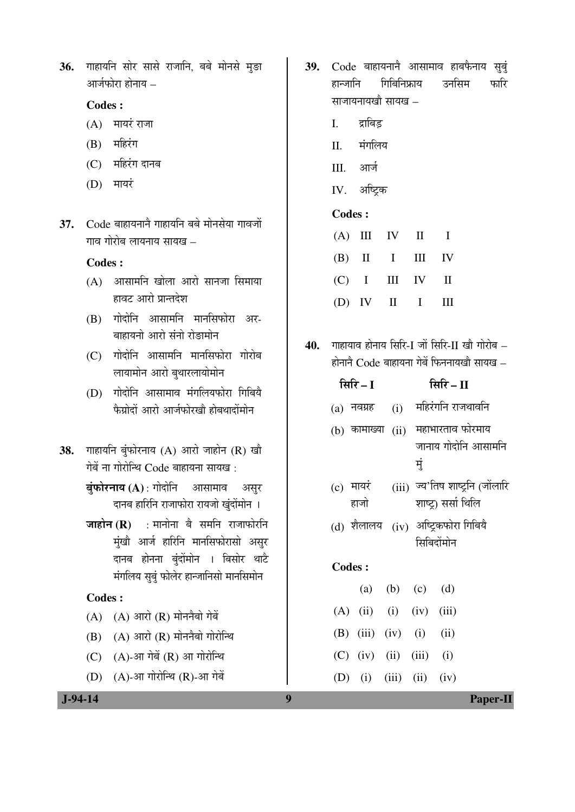36. गाहायनि सोर सासे राजानि, बबे मोनसे मुड़ा आर्जफोरा होनाय –

#### **Codes :**

- $(A)$  मायरं राजा
- $(B)$  महिरंग
- $(C)$  महिरंग दानब
- $(D)$  मायरं
- 37. Code बाहायनाने गाहायनि बबे मोनसेया गावजों  $\overline{\mathbf{u}}$ णाळ गोरोब लायनाय सायख $\overline{\mathbf{v}}$

#### **Codes :**

- $(A)$  आसामनि खोला आरो सानजा सिमाया हावट आरो प्रान्तदेश
- $(B)$  गोदोनि आसामनि मानसिफोरा अर-बाहायनो आरो संनो रोङामोन
- $(C)$  गोदोनि आसामनि मानसिफोरा गोरोब लायामोन आरो बुथारलायोमोन
- $(D)$  गोदोनि आसामाव मंगलियफोरा गिबियै फैग्रोदों आरो आर्जफोरखौ होबथादोंमोन
- 38. गाहायनि बुंफोरनाय (A) आरो जाहोन (R) खौ गेबें ना गोरोन्थि Code बाहायना सायख:
	- **बुंफोरनाय (A)** : गोदोनि आसामाव असुर दानब हारिनि राजाफोरा रायजो खुंदोंमोन ।
	- **जाहोन (R)** : मानोना बै समनि राजाफोरनि मुंखौ आर्ज हारिनि मानसिफोरासो असुर दानब होनना बुंदोंमोन । बिसोर थाटे मंगलिय सुबुं फोलेर हान्जानिसो मानसिमोन

#### **Codes :**

- $(A)$   $(A)$  आरो  $(R)$  मोननैबो गेबें
- $(B)$   $(A)$  आरो  $(R)$  मोननैबो गोरोन्थि
- $(C)$   $(A)$ -आ गेबें $(R)$  आ गोरोन्थि
- $(D)$   $(A)$ -आ गोरोन्थि  $(R)$ -आ गेबें
- **39.** Code बाहायनानै आसामाव हाबफैनाय सुबुं हान्जानि गिबिनिफ्राय उनसिम फारि साजायनायखो सायख –
	- I. द्राबिड
	- II. मंगलिय
	- III. आर्ज
	- IV. अष्ट्रिक

#### **Codes :**

|  |  | $(A)$ III IV II I |  |
|--|--|-------------------|--|
|  |  | $(B)$ II I III IV |  |
|  |  | $(C)$ I III IV II |  |
|  |  | $(D)$ IV II I III |  |

40. गाहायाव होनाय सिरि-I जों सिरि-II खौ गोरोब –  $\vec{E}$ होनाने  $\vec{C}$ ode बाहायना गेबें फिननायखो सायख –

|               | सिरि – I                        |            | सिरि – II                                               |
|---------------|---------------------------------|------------|---------------------------------------------------------|
|               | (a) नवग्रह                      |            | (i) महिरंगनि राजथावनि                                   |
|               | (b) कामाख्या (ii)               |            | महाभारताव फोरमाय<br>जानाय गोदोनि आसामनि                 |
|               |                                 | म्         |                                                         |
|               | (c) मायरं<br>हाजो               |            | (iii) ज्य'तिष शाष्ट्रनि (जोंलारि<br>शाष्ट्र) सर्सा थिलि |
|               |                                 |            | (d) शैलालय (iv) अष्ट्रिकफोरा गिबियै                     |
|               |                                 | सिबिदोंमोन |                                                         |
| <b>Codes:</b> |                                 |            |                                                         |
|               | (a) (b) (c) (d)                 |            |                                                         |
|               | $(A)$ (ii) (i) (iv) (iii)       |            |                                                         |
|               | (B) $(iii)$ $(iv)$ $(i)$ $(ii)$ |            |                                                         |
|               | $(C)$ (iv) (ii) (iii)           |            | (i)                                                     |
|               | (D) (i) (iii) (ii)              |            | (iv)                                                    |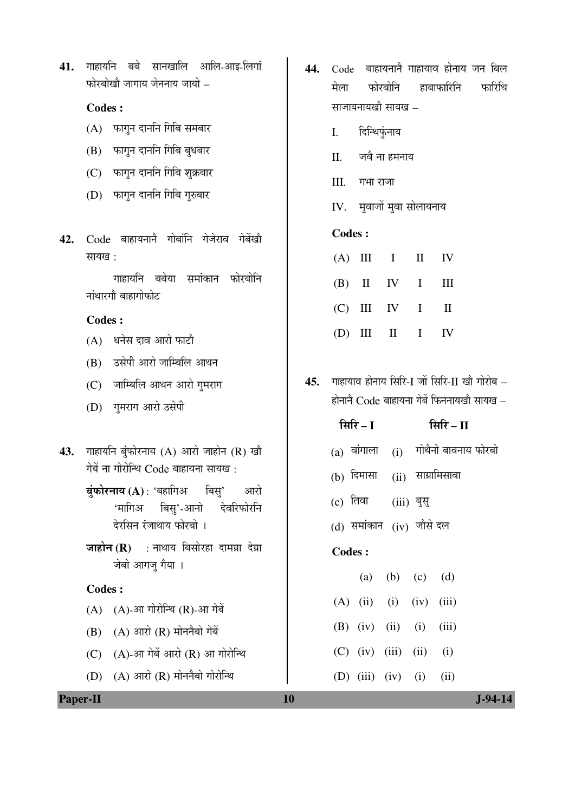41. गाहायनि बबे सानखालि आलि-आइ-लिगां  $\overline{u}$ फोरबोखौ जागाय जेननाय जायो $\overline{u}$ 

## **Codes :**

- $(A)$  फागुन दाननि गिबि समबार
- (B) फागुन दाननि गिबि बुधबार
- (C) फागुन दाननि गिबि शुक्रबार
- (D) फागन दाननि गिबि गुरुबार
- 42. Code बाहायनाने गोबांनि गेजेराव गेबेंखो सायख $\cdot$

गाहायनि बबेया समांकान फोरबोनि <mark>नां</mark>थारगौ बाहागोफोट

### **Codes :**

- $(A)$  धनेस दाव आरो फाटौ
- (B) उसेपी आरो जाम्बिलि आथन
- (C) जाम्बिलि आथन आरो गुमराग
- (D) गुमराग आरो उसेपी
- 43. गाहायनि बुंफोरनाय (A) आरो जाहोन (R) खौ गेबें ना गोरोन्थि Code बाहायना सायख:
	- **बंफोरनाय (A)** : 'बहागिअ बिसु' आरो 'मागिअ बिसु'-आनो देवरिफोरनि देरसिन रंजाथाय फोरबो ।
	- **जाहोन (R)** : नाथाय बिसोरहा दामग्रा देग्रा जेबो आगजु गैया ।

#### **Codes :**

- $(A)$   $(A)$ -आ गोरोन्थि  $(R)$ -आ गेबें
- $(B)$   $(A)$  आरो  $(R)$  मोननैबो गेबें
- $(C)$   $(A)$ -आ गेबें आरो  $(R)$  आ गोरोन्थि
- $(D)$   $(A)$  आरो  $(R)$  मोननैबो गोरोन्थि
- 44. Code बाहायनाने गाहायाव होनाय जन बिल मेला फोरबोनि हाबाफारिनि फारिथि साजायनायखौ $i$  सायख $i$  –
	- I. दिन्थिफंनाय
	- II. जवै ना हमनाय
	- $III.$  गभा राजा
	- IV. मुवाजों मुवा सोलायनाय

## **Codes :**

|  | $(A)$ III I II IV |  |
|--|-------------------|--|
|  | $(B)$ II IV I III |  |
|  | $(C)$ III IV I II |  |
|  | $(D)$ III II I IV |  |

45. गाहायाव होनाय सिरि-I जों सिरि-II खौ गोरोब –  $\vec{E}$ होनाने  $\vec{C}$ ode बाहायना गेबें फिननायखो सायख $\vec{E}$ 

|               | सिरि $-1$ | सिरि $-II$                |                                     |
|---------------|-----------|---------------------------|-------------------------------------|
|               |           |                           | (a) वांगाला (i) गोथैनो बावनाय फोरबो |
|               |           |                           | (b) दिमासा (ii) साम्रामिसावा        |
|               |           | (c) तिवा (iii) बुसु       |                                     |
|               |           | (d) समांकान (iv) जौसे दल  |                                     |
| <b>Codes:</b> |           |                           |                                     |
|               |           | (a) (b) (c) (d)           |                                     |
|               |           | $(A)$ (ii) (i) (iv) (iii) |                                     |
|               |           | $(B)$ (iv) (ii) (i) (iii) |                                     |
|               |           | $(C)$ (iv) (iii) (ii) (i) |                                     |
|               |           | (D) (iii) (iv) (i) (ii)   |                                     |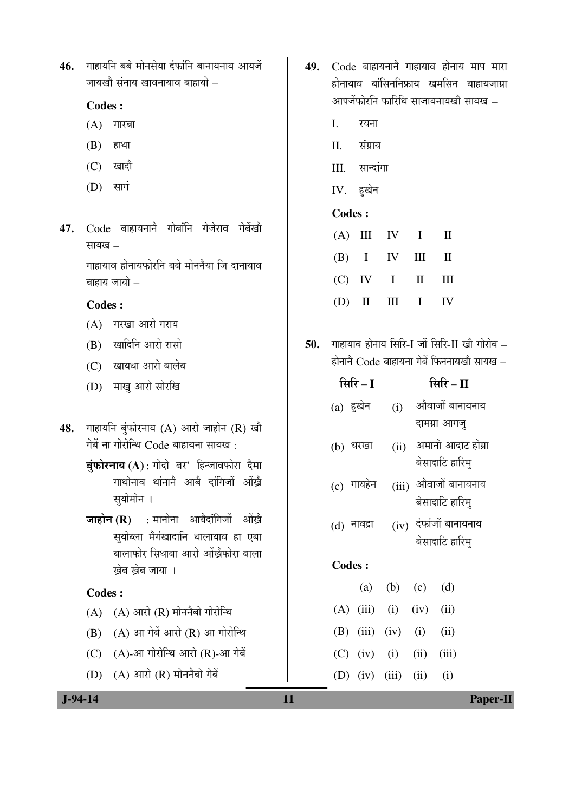46. गाहायनि बबे मोनसेया दंफांनि बानायनाय आयजें जायखौ संनाय खावनायाव बाहायो $-$ 

#### **Codes :**

- $(A)$  गारबा
- $(B)$  हाथा
- $(C)$  खादौ
- $(D)$  सागं
- 47. Code बाहायनाने गोबांनि गेजेराव गेबेंखौ सायख $-$

गाहायाव होनायफोरनि बबे मोननैया जि दानायाव बाहाय जायो $-$ 

## **Codes :**

- $(A)$  गरखा आरो गराय
- $(B)$  खादिनि आरो रासो
- (C) खायथा आरो बालेब
- (D) माख आरो सोरखि
- 48. गाहायनि बंफोरनाय (A) आरो जाहोन (R) खौ गेबें ना गोरोन्थि  $Code$  बाहायना सायख:
	- **बंफोरनाय (A)** : गोदो बर' हिन्जावफोरा दैमा गाथोनाव थांनाने आबे दांगिजों ओंखे सुयोमोन ।
	- **जाहोन (R)** : मानोना आबैदांगिजों ओंख्रे सयोब्ला मैगंखादानि थालायाव हा एबा बालाफोर सिथाबा आरो ओंखैफोरा बाला खेब खेब जाया ।

#### **Codes :**

- $(A)$   $(A)$  आरो  $(R)$  मोननैबो गोरोन्थि
- $(B)$   $(A)$  आ गेबें आरो  $(R)$  आ गोरोन्थि
- $(C)$   $(A)$ -आ गोरोन्थि आरो  $(R)$ -आ गेबें
- $(D)$   $(A)$  आरो  $(R)$  मोननैबो गेबें
- 49. Code बाहायनाने गाहायाव होनाय माप मारा होनायाव बांसिननिफ्राय खमसिन बाहायजाग्रा आपजेंफोरनि फारिथि साजायनायखौ सायख –
	- $I$   $\bar{v}$
	- $II$  संग्राय
	- III. सान्दांगा
	- IV. ह़खेन

#### **Codes :**

|  | $(A)$ III IV I II |  |
|--|-------------------|--|
|  | $(B)$ I IV III II |  |
|  | $(C)$ IV I II III |  |
|  | $(D)$ II III I IV |  |

50. माहायाव होनाय सिरि-I जों सिरि-II खौ गोरोब –  $\vec{E}$ होनाने  $\vec{C}$ ode बाहायना गेबें फिननायखौ सायख –

|     | सिरि – II       |                                                                                                                                                                                                                           |
|-----|-----------------|---------------------------------------------------------------------------------------------------------------------------------------------------------------------------------------------------------------------------|
| (i) | औवाजों बानायनाय |                                                                                                                                                                                                                           |
|     | दामग्रा आगजु    |                                                                                                                                                                                                                           |
|     |                 |                                                                                                                                                                                                                           |
|     |                 |                                                                                                                                                                                                                           |
|     |                 |                                                                                                                                                                                                                           |
|     |                 |                                                                                                                                                                                                                           |
|     |                 |                                                                                                                                                                                                                           |
|     |                 |                                                                                                                                                                                                                           |
|     |                 |                                                                                                                                                                                                                           |
|     | (d)             |                                                                                                                                                                                                                           |
| (i) |                 |                                                                                                                                                                                                                           |
|     | (ii)            |                                                                                                                                                                                                                           |
|     |                 |                                                                                                                                                                                                                           |
|     |                 | (ii) अमानो आदाट होग्रा<br>बेसादाटि हारिम्<br>(iii) औवाजों बानायनाय<br>बेसादाटि हारिम्<br>$(iv)$ दंफांजों बानायनाय<br>बेसादाटि हारिम्<br>(a) (b) (c)<br>$(iv)$ $(ii)$<br>$(B)$ (iii) (iv) (i)<br>$(C)$ (iv) (i) (ii) (iii) |

(D) (iv) (iii) (ii) (i)